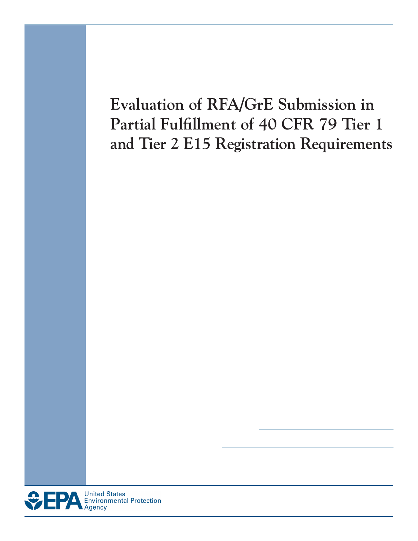# **Evaluation of RFA/GrE Submission in Partial Fulfillment of 40 CFR 79 Tier 1 and Tier 2 E15 Registration Requirements**

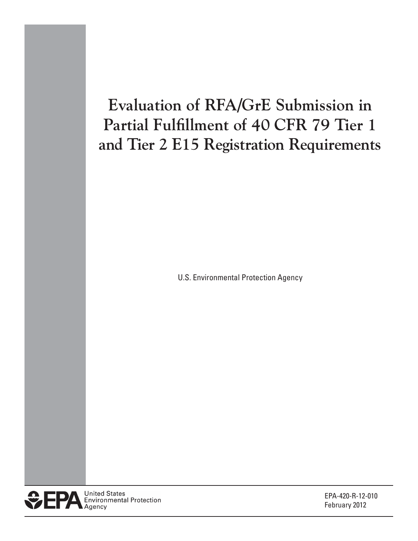# **Evaluation of RFA/GrE Submission in Partial Fulfillment of 40 CFR 79 Tier 1 and Tier 2 E15 Registration Requirements**

U.S. Environmental Protection Agency



EPA-420-R-12-010 February 2012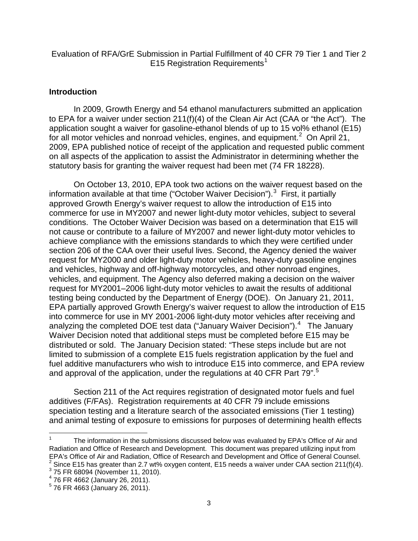### Evaluation of RFA/GrE Submission in Partial Fulfillment of 40 CFR 79 Tier 1 and Tier 2 E15 Registration Requirements<sup>1</sup>

### **Introduction**

 application sought a waiver for gasoline-ethanol blends of up to 15 vol% ethanol (E15) for all motor vehicles and nonroad vehicles, engines, and equipment.<sup>[2](#page-2-0)</sup> On April 21, on all aspects of the application to assist the Administrator in determining whether the statutory basis for granting the waiver request had been met (74 FR 18228). In 2009, Growth Energy and 54 ethanol manufacturers submitted an application to EPA for a waiver under section 211(f)(4) of the Clean Air Act (CAA or "the Act"). The 2009, EPA published notice of receipt of the application and requested public comment

 On October 13, 2010, EPA took two actions on the waiver request based on the information available at that time ("October Waiver Decision").<sup>[3](#page-2-1)</sup> First, it partially approved Growth Energy's waiver request to allow the introduction of E15 into conditions. The October Waiver Decision was based on a determination that E15 will testing being conducted by the Department of Energy (DOE). On January 21, 2011, analyzing the completed DOE test data ("January Waiver Decision").<sup>4</sup> The January Waiver Decision noted that additional steps must be completed before E15 may be distributed or sold. The January Decision stated: "These steps include but are not limited to submission of a complete E15 fuels registration application by the fuel and commerce for use in MY2007 and newer light-duty motor vehicles, subject to several not cause or contribute to a failure of MY2007 and newer light-duty motor vehicles to achieve compliance with the emissions standards to which they were certified under section 206 of the CAA over their useful lives. Second, the Agency denied the waiver request for MY2000 and older light-duty motor vehicles, heavy-duty gasoline engines and vehicles, highway and off-highway motorcycles, and other nonroad engines, vehicles, and equipment. The Agency also deferred making a decision on the waiver request for MY2001–2006 light-duty motor vehicles to await the results of additional EPA partially approved Growth Energy's waiver request to allow the introduction of E15 into commerce for use in MY 2001-2006 light-duty motor vehicles after receiving and fuel additive manufacturers who wish to introduce E15 into commerce, and EPA review and approval of the application, under the regulations at 40 CFR Part 79".<sup>[5](#page-2-3)</sup>

 Section 211 of the Act requires registration of designated motor fuels and fuel additives (F/FAs). Registration requirements at 40 CFR 79 include emissions speciation testing and a literature search of the associated emissions (Tier 1 testing) and animal testing of exposure to emissions for purposes of determining health effects

 Radiation and Office of Research and Development. This document was prepared utilizing input from The information in the submissions discussed below was evaluated by EPA's Office of Air and EPA's Office of Air and Radiation, Office of Research and Development and Office of General Counsel. 2 Since E15 has greater than 2.7 wt% oxygen content, E15 needs a waiver under CAA section 211(f)(4). 1

<span id="page-2-1"></span><span id="page-2-0"></span><sup>&</sup>lt;sup>3</sup> 75 FR 68094 (November 11, 2010).

<span id="page-2-2"></span><sup>4 76</sup> FR 4662 (January 26, 2011).

<span id="page-2-3"></span> $5$  76 FR 4663 (January 26, 2011).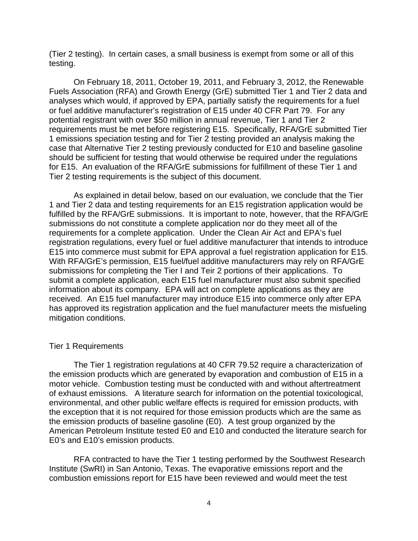(Tier 2 testing). In certain cases, a small business is exempt from some or all of this testing.

 analyses which would, if approved by EPA, partially satisfy the requirements for a fuel or fuel additive manufacturer's registration of E15 under 40 CFR Part 79. For any case that Alternative Tier 2 testing previously conducted for E10 and baseline gasoline for E15. An evaluation of the RFA/GrE submissions for fulfillment of these Tier 1 and Tier 2 testing requirements is the subject of this document. On February 18, 2011, October 19, 2011, and February 3, 2012, the Renewable Fuels Association (RFA) and Growth Energy (GrE) submitted Tier 1 and Tier 2 data and potential registrant with over \$50 million in annual revenue, Tier 1 and Tier 2 requirements must be met before registering E15. Specifically, RFA/GrE submitted Tier 1 emissions speciation testing and for Tier 2 testing provided an analysis making the should be sufficient for testing that would otherwise be required under the regulations

 requirements for a complete application. Under the Clean Air Act and EPA's fuel registration regulations, every fuel or fuel additive manufacturer that intends to introduce E15 into commerce must submit for EPA approval a fuel registration application for E15. submissions for completing the Tier I and Teir 2 portions of their applications. To submit a complete application, each E15 fuel manufacturer must also submit specified As explained in detail below, based on our evaluation, we conclude that the Tier 1 and Tier 2 data and testing requirements for an E15 registration application would be fulfilled by the RFA/GrE submissions. It is important to note, however, that the RFA/GrE submissions do not constitute a complete application nor do they meet all of the With RFA/GrE's permission, E15 fuel/fuel additive manufacturers may rely on RFA/GrE information about its company. EPA will act on complete applications as they are received. An E15 fuel manufacturer may introduce E15 into commerce only after EPA has approved its registration application and the fuel manufacturer meets the misfueling mitigation conditions.

#### Tier 1 Requirements

 of exhaust emissions. A literature search for information on the potential toxicological, The Tier 1 registration regulations at 40 CFR 79.52 require a characterization of the emission products which are generated by evaporation and combustion of E15 in a motor vehicle. Combustion testing must be conducted with and without aftertreatment environmental, and other public welfare effects is required for emission products, with the exception that it is not required for those emission products which are the same as the emission products of baseline gasoline (E0). A test group organized by the American Petroleum Institute tested E0 and E10 and conducted the literature search for E0's and E10's emission products.

RFA contracted to have the Tier 1 testing performed by the Southwest Research Institute (SwRI) in San Antonio, Texas. The evaporative emissions report and the combustion emissions report for E15 have been reviewed and would meet the test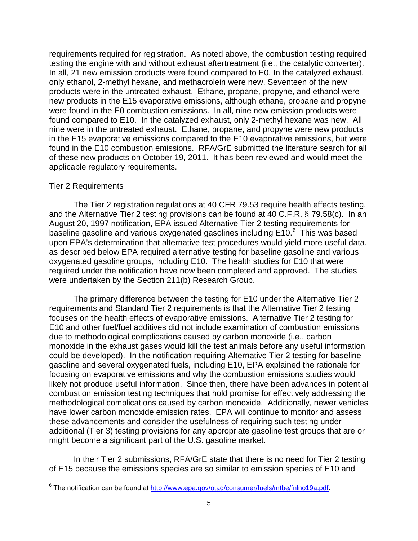testing the engine with and without exhaust aftertreatment (i.e., the catalytic converter). were found in the E0 combustion emissions. In all, nine new emission products were nine were in the untreated exhaust. Ethane, propane, and propyne were new products requirements required for registration. As noted above, the combustion testing required In all, 21 new emission products were found compared to E0. In the catalyzed exhaust, only ethanol, 2-methyl hexane, and methacrolein were new. Seventeen of the new products were in the untreated exhaust. Ethane, propane, propyne, and ethanol were new products in the E15 evaporative emissions, although ethane, propane and propyne found compared to E10. In the catalyzed exhaust, only 2-methyl hexane was new. All in the E15 evaporative emissions compared to the E10 evaporative emissions, but were found in the E10 combustion emissions. RFA/GrE submitted the literature search for all of these new products on October 19, 2011. It has been reviewed and would meet the applicable regulatory requirements.

### Tier 2 Requirements

 and the Alternative Tier 2 testing provisions can be found at 40 C.F.R. § 79.58(c). In an August 20, 1997 notification, EPA issued Alternative Tier 2 testing requirements for baseline gasoline and various oxygenated gasolines including E10.<sup>[6](#page-2-3)</sup> This was based upon EPA's determination that alternative test procedures would yield more useful data, oxygenated gasoline groups, including E10. The health studies for E10 that were The Tier 2 registration regulations at 40 CFR 79.53 require health effects testing, as described below EPA required alternative testing for baseline gasoline and various required under the notification have now been completed and approved. The studies were undertaken by the Section 211(b) Research Group.

 focuses on the health effects of evaporative emissions. Alternative Tier 2 testing for due to methodological complications caused by carbon monoxide (i.e., carbon could be developed). In the notification requiring Alternative Tier 2 testing for baseline gasoline and several oxygenated fuels, including E10, EPA explained the rationale for focusing on evaporative emissions and why the combustion emissions studies would likely not produce useful information. Since then, there have been advances in potential combustion emission testing techniques that hold promise for effectively addressing the methodological complications caused by carbon monoxide. Additionally, newer vehicles additional (Tier 3) testing provisions for any appropriate gasoline test groups that are or The primary difference between the testing for E10 under the Alternative Tier 2 requirements and Standard Tier 2 requirements is that the Alternative Tier 2 testing E10 and other fuel/fuel additives did not include examination of combustion emissions monoxide in the exhaust gases would kill the test animals before any useful information have lower carbon monoxide emission rates. EPA will continue to monitor and assess these advancements and consider the usefulness of requiring such testing under might become a significant part of the U.S. gasoline market.

<span id="page-4-0"></span> of E15 because the emissions species are so similar to emission species of E10 and In their Tier 2 submissions, RFA/GrE state that there is no need for Tier 2 testing

 $\overline{a}$ <sup>6</sup> The notification can be found at [http://www.epa.gov/otaq/consumer/fuels/mtbe/fnlno19a.pdf.](http://www.epa.gov/otaq/consumer/fuels/mtbe/fnlno19a.pdf)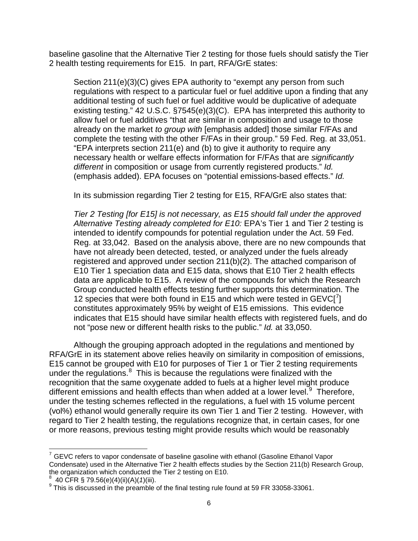baseline gasoline that the Alternative Tier 2 testing for those fuels should satisfy the Tier 2 health testing requirements for E15. In part, RFA/GrE states:

 regulations with respect to a particular fuel or fuel additive upon a finding that any allow fuel or fuel additives "that are similar in composition and usage to those Section 211(e)(3)(C) gives EPA authority to "exempt any person from such additional testing of such fuel or fuel additive would be duplicative of adequate existing testing." 42 U.S.C. §7545(e)(3)(C). EPA has interpreted this authority to already on the market *to group with* [emphasis added] those similar F/FAs and complete the testing with the other F/FAs in their group." 59 Fed. Reg. at 33,051. "EPA interprets section 211(e) and (b) to give it authority to require any necessary health or welfare effects information for F/FAs that are *significantly different* in composition or usage from currently registered products." *Id.*  (emphasis added). EPA focuses on "potential emissions-based effects." *Id.* 

In its submission regarding Tier 2 testing for E15, RFA/GrE also states that:

 *Tier 2 Testing [for E15] is not necessary, as E15 should fall under the approved Alternative Testing already completed for E10:* EPA's Tier 1 and Tier 2 testing is intended to identify compounds for potential regulation under the Act. 59 Fed. data are applicable to E15. A review of the compounds for which the Research indicates that E15 should have similar health effects with registered fuels, and do not "pose new or different health risks to the public." *Id.* at 33,050. Reg. at 33,042. Based on the analysis above, there are no new compounds that have not already been detected, tested, or analyzed under the fuels already registered and approved under section 211(b)(2). The attached comparison of E10 Tier 1 speciation data and E15 data, shows that E10 Tier 2 health effects Group conducted health effects testing further supports this determination. The 12 species that were both found in E15 and which were tested in  $GEVC[^7]$  $GEVC[^7]$  $GEVC[^7]$ constitutes approximately 95% by weight of E15 emissions. This evidence

 E15 cannot be grouped with E10 for purposes of Tier 1 or Tier 2 testing requirements under the regulations. $8\,$  $8\,$  This is because the regulations were finalized with the different emissions and health effects than when added at a lower level.<sup>[9](#page-5-1)</sup> Therefore, Although the grouping approach adopted in the regulations and mentioned by RFA/GrE in its statement above relies heavily on similarity in composition of emissions, recognition that the same oxygenate added to fuels at a higher level might produce under the testing schemes reflected in the regulations, a fuel with 15 volume percent (vol%) ethanol would generally require its own Tier 1 and Tier 2 testing. However, with regard to Tier 2 health testing, the regulations recognize that, in certain cases, for one or more reasons, previous testing might provide results which would be reasonably

<span id="page-5-2"></span> $\overline{a}$  Condensate) used in the Alternative Tier 2 health effects studies by the Section 211(b) Research Group, the organization which conducted the Tier 2 testing on E10.  $7$  GEVC refers to vapor condensate of baseline gasoline with ethanol (Gasoline Ethanol Vapor

<span id="page-5-0"></span> $8^{8}$  40 CFR § 79.56(e)(4)(ii)(A)(1)(iii).

<span id="page-5-1"></span><sup>&</sup>lt;sup>9</sup> This is discussed in the preamble of the final testing rule found at 59 FR 33058-33061.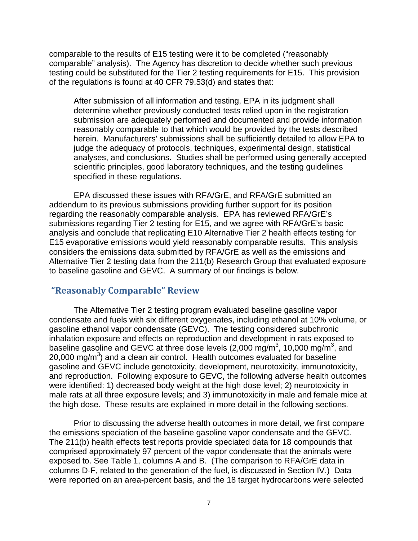testing could be substituted for the Tier 2 testing requirements for E15. This provision of the regulations is found at 40 CFR 79.53(d) and states that: comparable to the results of E15 testing were it to be completed ("reasonably comparable" analysis). The Agency has discretion to decide whether such previous

After submission of all information and testing, EPA in its judgment shall determine whether previously conducted tests relied upon in the registration submission are adequately performed and documented and provide information reasonably comparable to that which would be provided by the tests described herein. Manufacturers' submissions shall be sufficiently detailed to allow EPA to judge the adequacy of protocols, techniques, experimental design, statistical analyses, and conclusions. Studies shall be performed using generally accepted scientific principles, good laboratory techniques, and the testing guidelines specified in these regulations.

 submissions regarding Tier 2 testing for E15, and we agree with RFA/GrE's basic analysis and conclude that replicating E10 Alternative Tier 2 health effects testing for E15 evaporative emissions would yield reasonably comparable results. This analysis Alternative Tier 2 testing data from the 211(b) Research Group that evaluated exposure EPA discussed these issues with RFA/GrE, and RFA/GrE submitted an addendum to its previous submissions providing further support for its position regarding the reasonably comparable analysis. EPA has reviewed RFA/GrE's considers the emissions data submitted by RFA/GrE as well as the emissions and to baseline gasoline and GEVC. A summary of our findings is below.

## **"Reasonably Comparable" Review**

 condensate and fuels with six different oxygenates, including ethanol at 10% volume, or gasoline ethanol vapor condensate (GEVC). The testing considered subchronic 20,000  $mg/m<sup>3</sup>$ ) and a clean air control. Health outcomes evaluated for baseline the high dose. These results are explained in more detail in the following sections. The Alternative Tier 2 testing program evaluated baseline gasoline vapor inhalation exposure and effects on reproduction and development in rats exposed to baseline gasoline and GEVC at three dose levels (2,000 mg/m $^3$ , 10,000 mg/m $^3$ , and gasoline and GEVC include genotoxicity, development, neurotoxicity, immunotoxicity, and reproduction. Following exposure to GEVC, the following adverse health outcomes were identified: 1) decreased body weight at the high dose level; 2) neurotoxicity in male rats at all three exposure levels; and 3) immunotoxicity in male and female mice at

the emissions speciation of the baseline gasoline vapor condensate and the GEVC. exposed to. See Table 1, columns A and B. (The comparison to RFA/GrE data in Prior to discussing the adverse health outcomes in more detail, we first compare The 211(b) health effects test reports provide speciated data for 18 compounds that comprised approximately 97 percent of the vapor condensate that the animals were columns D-F, related to the generation of the fuel, is discussed in Section IV.) Data were reported on an area-percent basis, and the 18 target hydrocarbons were selected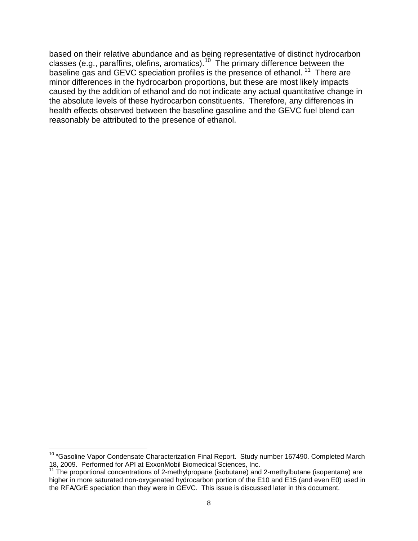baseline gas and GEVC speciation profiles is the presence of ethanol.  $^{11}$  There are minor differences in the hydrocarbon proportions, but these are most likely impacts the absolute levels of these hydrocarbon constituents. Therefore, any differences in health effects observed between the baseline gasoline and the GEVC fuel blend can reasonably be attributed to the presence of ethanol. based on their relative abundance and as being representative of distinct hydrocarbon classes (e.g., paraffins, olefins, aromatics).<sup>10</sup> The primary difference between the caused by the addition of ethanol and do not indicate any actual quantitative change in

 <sup>10</sup> "Gasoline Vapor Condensate Characterization Final Report. Study number 167490. Completed March 18, 2009. Performed for API at ExxonMobil Biomedical Sciences, Inc.

<span id="page-7-0"></span> $11$ <sup>11</sup> The proportional concentrations of 2-methylpropane (isobutane) and 2-methylbutane (isopentane) are higher in more saturated non-oxygenated hydrocarbon portion of the E10 and E15 (and even E0) used in the RFA/GrE speciation than they were in GEVC. This issue is discussed later in this document.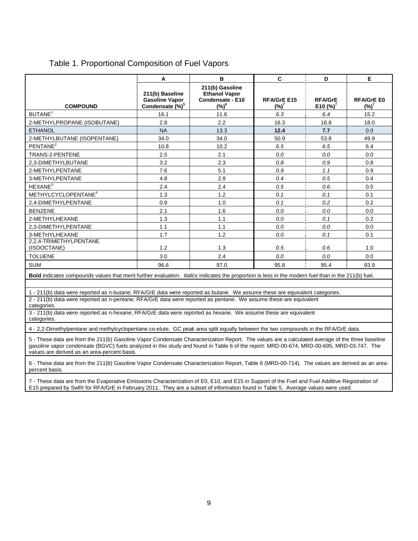|                                       | A                                                                       | в                                                                       | C                            | D                             | Е                             |
|---------------------------------------|-------------------------------------------------------------------------|-------------------------------------------------------------------------|------------------------------|-------------------------------|-------------------------------|
| <b>COMPOUND</b>                       | 211(b) Baseline<br><b>Gasoline Vapor</b><br>Condensate (%) <sup>5</sup> | 211(b) Gasoline<br><b>Ethanol Vapor</b><br>Condensate - E10<br>$(\%)^6$ | <b>RFA/GrEE15</b><br>$(%)^7$ | <b>RFA/GrE</b><br>E10 $(%)^7$ | <b>RFA/GrE E0</b><br>$(\%)^7$ |
| BUTANE <sup>1</sup>                   | 16.1                                                                    | 11.6                                                                    | 6.3                          | 6.4                           | 15.2                          |
| 2-METHYLPROPANE (ISOBUTANE)           | 2.8                                                                     | 2.2                                                                     | 16.3                         | 16.8                          | 18.0                          |
| <b>ETHANOL</b>                        | <b>NA</b>                                                               | 13.3                                                                    | 12.4                         | 7.7                           | 0.0                           |
| 2-METHYLBUTANE (ISOPENTANE)           | 34.0                                                                    | 34.0                                                                    | 50.9                         | 53.8                          | 49.9                          |
| PENTANE <sup>2</sup>                  | 10.8                                                                    | 10.2                                                                    | 6.5                          | 6.5                           | 6.4                           |
| TRANS-2-PENTENE                       | 2.5                                                                     | 2.1                                                                     | 0.0                          | 0.0                           | 0.0                           |
| 2.3-DIMETHYLBUTANE                    | 3.2                                                                     | 2.3                                                                     | 0.8                          | 0.9                           | 0.8                           |
| 2-METHYLPENTANE                       | 7.6                                                                     | 5.1                                                                     | 0.9                          | 1.1                           | 0.9                           |
| 3-METHYLPENTANE                       | 4.8                                                                     | 2.9                                                                     | 0.4                          | 0.5                           | 0.4                           |
| HEXANE <sup>3</sup>                   | 2.4                                                                     | 2.4                                                                     | 0.5                          | 0.6                           | 0.5                           |
| METHYLCYCLOPENTANE <sup>4</sup>       | 1.3                                                                     | 1.2                                                                     | 0.1                          | 0.1                           | 0.1                           |
| 2,4-DIMETHYLPENTANE                   | 0.9                                                                     | 1.0                                                                     | 0.1                          | 0.2                           | 0.2                           |
| <b>BENZENE</b>                        | 2.1                                                                     | 1.6                                                                     | 0.0                          | 0.0                           | 0.0                           |
| 2-METHYLHEXANE                        | 1.3                                                                     | 1.1                                                                     | 0.0                          | 0.1                           | 0.2                           |
| 2,3-DIMETHYLPENTANE                   | 1.1                                                                     | 1.1                                                                     | 0.0                          | 0.0                           | 0.0                           |
| 3-METHYLHEXANE                        | 1.7                                                                     | 1.2                                                                     | 0.0                          | 0.1                           | 0.1                           |
| 2,2,4-TRIMETHYLPENTANE<br>(ISOOCTANE) | 1.2                                                                     | 1.3                                                                     | 0.5                          | 0.6                           | 1.0                           |
| <b>TOLUENE</b>                        | 3.0                                                                     | 2.4                                                                     | 0.0                          | 0.0                           | 0.0                           |
| <b>SUM</b>                            | 96.6                                                                    | 97.0                                                                    | 95.8                         | 95.4                          | 93.9                          |

## Table 1. Proportional Composition of Fuel Vapors

**Bold** indicates compounds values that merit further evaluation. *Italics* indicates the proportion is less in the modern fuel than in the 211(b) fuel.

1 - 211(b) data were reported as n-butane; RFA/GrE data were reported as butane. We assume these are equivalent categories.

2 - 211(b) data were reported as n-pentane; RFA/GrE data were reported as pentane. We assume these are equivalent

categories.

 3 - 211(b) data were reported as n-hexane; RFA/GrE data were reported as hexane. We assume these are equivalent categories.

4 - 2,2-Dimethylpentane and methylcyclopentane co-elute. GC peak area split equally between the two compounds in the RFA/GrE data.

5 - These data are from the 211(b) Gasoline Vapor Condensate Characterization Report. The values are a calculated average of the three baseline gasoline vapor condensate (BGVC) fuels analyzed in this study and found in Table 6 of the report: MRD-00-674, MRD-00-695, MRD-03-747. The values are derived as an area-percent basis.

 6 - These data are from the 211(b) Gasoline Vapor Condensate Characterization Report, Table 6 (MRD-00-714). The values are derived as an areapercent basis.

 7 - These data are from the Evaporative Emissions Characterization of E0, E10, and E15 in Support of the Fuel and Fuel Additive Registration of E15 prepared by SwRI for RFA/GrE in February 2011. They are a subset of information found in Table 5. Average values were used.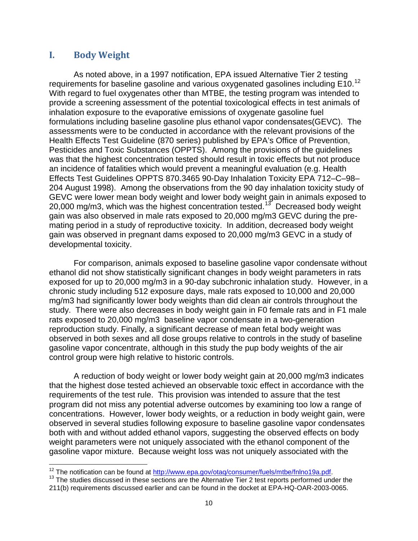## **I. Body Weight**

 As noted above, in a 1997 notification, EPA issued Alternative Tier 2 testing requirements for baseline gasoline and various oxygenated gasolines including E10.<sup>[12](#page-7-0)</sup> provide a screening assessment of the potential toxicological effects in test animals of Health Effects Test Guideline (870 series) published by EPA's Office of Prevention, Pesticides and Toxic Substances (OPPTS). Among the provisions of the guidelines 204 August 1998). Among the observations from the 90 day inhalation toxicity study of 20,000 mg/m3, which was the highest concentration tested.<sup>13</sup> Decreased body weight developmental toxicity. With regard to fuel oxygenates other than MTBE, the testing program was intended to inhalation exposure to the evaporative emissions of oxygenate gasoline fuel formulations including baseline gasoline plus ethanol vapor condensates(GEVC). The assessments were to be conducted in accordance with the relevant provisions of the was that the highest concentration tested should result in toxic effects but not produce an incidence of fatalities which would prevent a meaningful evaluation (e.g. Health Effects Test Guidelines OPPTS 870.3465 90-Day Inhalation Toxicity EPA 712–C–98– GEVC were lower mean body weight and lower body weight gain in animals exposed to gain was also observed in male rats exposed to 20,000 mg/m3 GEVC during the premating period in a study of reproductive toxicity. In addition, decreased body weight gain was observed in pregnant dams exposed to 20,000 mg/m3 GEVC in a study of

 study. There were also decreases in body weight gain in F0 female rats and in F1 male control group were high relative to historic controls. For comparison, animals exposed to baseline gasoline vapor condensate without ethanol did not show statistically significant changes in body weight parameters in rats exposed for up to 20,000 mg/m3 in a 90-day subchronic inhalation study. However, in a chronic study including 512 exposure days, male rats exposed to 10,000 and 20,000 mg/m3 had significantly lower body weights than did clean air controls throughout the rats exposed to 20,000 mg/m3 baseline vapor condensate in a two-generation reproduction study. Finally, a significant decrease of mean fetal body weight was observed in both sexes and all dose groups relative to controls in the study of baseline gasoline vapor concentrate, although in this study the pup body weights of the air

 that the highest dose tested achieved an observable toxic effect in accordance with the requirements of the test rule. This provision was intended to assure that the test concentrations. However, lower body weights, or a reduction in body weight gain, were both with and without added ethanol vapors, suggesting the observed effects on body A reduction of body weight or lower body weight gain at 20,000 mg/m3 indicates program did not miss any potential adverse outcomes by examining too low a range of observed in several studies following exposure to baseline gasoline vapor condensates weight parameters were not uniquely associated with the ethanol component of the gasoline vapor mixture. Because weight loss was not uniquely associated with the

<span id="page-9-2"></span><span id="page-9-0"></span> $\overline{a}$ <sup>12</sup> The notification can be found at  $\underline{\text{http://www.epa.gov/otaq/consumer/fuels/mtbe/fnlno19a.pdf}}$ .<br><sup>13</sup> The studies discussed in these sections are the Alternative Tier 2 test reports performed under the

<span id="page-9-1"></span> 211(b) requirements discussed earlier and can be found in the docket at EPA-HQ-OAR-2003-0065. 10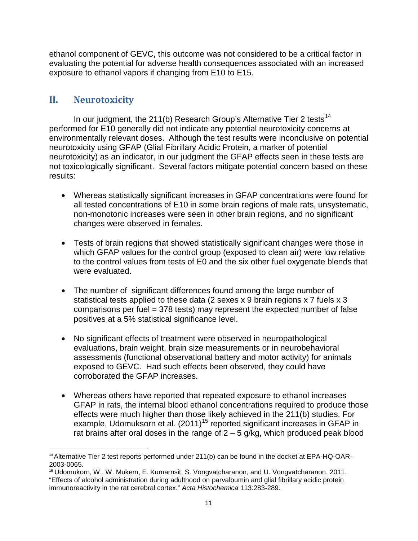ethanol component of GEVC, this outcome was not considered to be a critical factor in exposure to ethanol vapors if changing from E10 to E15. evaluating the potential for adverse health consequences associated with an increased

# **II. Neurotoxicity**

 not toxicologically significant. Several factors mitigate potential concern based on these results: In our judgment, the 211(b) Research Group's Alternative Tier 2 tests<sup>14</sup> performed for E10 generally did not indicate any potential neurotoxicity concerns at environmentally relevant doses. Although the test results were inconclusive on potential neurotoxicity using GFAP (Glial Fibrillary Acidic Protein, a marker of potential neurotoxicity) as an indicator, in our judgment the GFAP effects seen in these tests are

- all tested concentrations of E10 in some brain regions of male rats, unsystematic, • Whereas statistically significant increases in GFAP concentrations were found for non-monotonic increases were seen in other brain regions, and no significant changes were observed in females.
- to the control values from tests of E0 and the six other fuel oxygenate blends that • Tests of brain regions that showed statistically significant changes were those in which GFAP values for the control group (exposed to clean air) were low relative were evaluated.
- The number of significant differences found among the large number of comparisons per fuel = 378 tests) may represent the expected number of false statistical tests applied to these data (2 sexes x 9 brain regions x 7 fuels x 3 positives at a 5% statistical significance level.
- No significant effects of treatment were observed in neuropathological evaluations, brain weight, brain size measurements or in neurobehavioral assessments (functional observational battery and motor activity) for animals exposed to GEVC. Had such effects been observed, they could have corroborated the GFAP increases.
- Whereas others have reported that repeated exposure to ethanol increases example, Udomuksorn et al. (2011)<sup>15</sup> reported significant increases in GFAP in rat brains after oral doses in the range of 2 – 5 g/kg, which produced peak blood GFAP in rats, the internal blood ethanol concentrations required to produce those effects were much higher than those likely achieved in the 211(b) studies. For

<span id="page-10-1"></span> $\overline{a}$  2003-0065. <sup>14</sup> Alternative Tier 2 test reports performed under 211(b) can be found in the docket at EPA-HQ-OAR-

<span id="page-10-0"></span> 15 Udomukorn, W., W. Mukem, E. Kumarnsit, S. Vongvatcharanon, and U. Vongvatcharanon. 2011. immunoreactivity in the rat cerebral cortex." *Acta Histochemica* 113:283-289. "Effects of alcohol administration during adulthood on parvalbumin and glial fibrillary acidic protein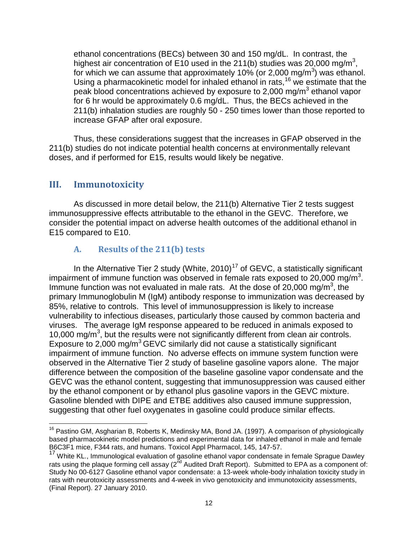ethanol concentrations (BECs) between 30 and 150 mg/dL. In contrast, the for which we can assume that approximately 10% (or 2,000 mg/m<sup>3</sup>) was ethanol. for 6 hr would be approximately 0.6 mg/dL. Thus, the BECs achieved in the highest air concentration of E10 used in the 211(b) studies was 20,000 mg/m<sup>3</sup>, Using a pharmacokinetic model for inhaled ethanol in rats,  $16$  we estimate that the peak blood concentrations achieved by exposure to 2,000 mg/m<sup>3</sup> ethanol vapor 211(b) inhalation studies are roughly 50 - 250 times lower than those reported to increase GFAP after oral exposure.

 211(b) studies do not indicate potential health concerns at environmentally relevant Thus, these considerations suggest that the increases in GFAP observed in the doses, and if performed for E15, results would likely be negative.

# **III. Immunotoxicity**

 immunosuppressive effects attributable to the ethanol in the GEVC. Therefore, we E15 compared to E10. As discussed in more detail below, the 211(b) Alternative Tier 2 tests suggest consider the potential impact on adverse health outcomes of the additional ethanol in

## **A. Results of the 211(b) tests**

Immune function was not evaluated in male rats. At the dose of 20,000 mg/m<sup>3</sup>, the 85%, relative to controls. This level of immunosuppression is likely to increase viruses. The average IgM response appeared to be reduced in animals exposed to Exposure to 2,000 mg/ $m^3$  GEVC similarly did not cause a statistically significant observed in the Alternative Tier 2 study of baseline gasoline vapors alone. The major by the ethanol component or by ethanol plus gasoline vapors in the GEVC mixture. suggesting that other fuel oxygenates in gasoline could produce similar effects. In the Alternative Tier 2 study (White, 2010)<sup>17</sup> of GEVC, a statistically significant impairment of immune function was observed in female rats exposed to 20,000 mg/m<sup>3</sup>. primary Immunoglobulin M (IgM) antibody response to immunization was decreased by vulnerability to infectious diseases, particularly those caused by common bacteria and 10,000 mg/ $m<sup>3</sup>$ , but the results were not significantly different from clean air controls. impairment of immune function. No adverse effects on immune system function were difference between the composition of the baseline gasoline vapor condensate and the GEVC was the ethanol content, suggesting that immunosuppression was caused either Gasoline blended with DIPE and ETBE additives also caused immune suppression,

 $\overline{\phantom{a}}$ suggesting that other fuel oxygenates in gasoline could produce similar effects.<br>————————————————————<br><sup>16</sup> Pastino GM, Asgharian B, Roberts K, Medinsky MA, Bond JA. (1997). A comparison of physiologically based pharmacokinetic model predictions and experimental data for inhaled ethanol in male and female B6C3F1 mice, F344 rats, and humans. Toxicol Appl Pharmacol, 145, 147-57.

<span id="page-11-1"></span><span id="page-11-0"></span>rats using the plaque forming cell assay (2<sup>nd</sup> Audited Draft Report). Submitted to EPA as a component of: (Final Report). 27 January 2010. <sup>17</sup> White KL., Immunological evaluation of gasoline ethanol vapor condensate in female Sprague Dawley Study No 00-6127 Gasoline ethanol vapor condensate: a 13-week whole-body inhalation toxicity study in rats with neurotoxicity assessments and 4-week in vivo genotoxicity and immunotoxicity assessments,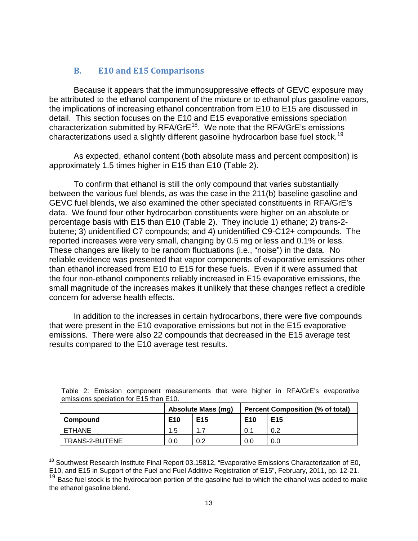# **B. E10 and E15 Comparisons**

 be attributed to the ethanol component of the mixture or to ethanol plus gasoline vapors, characterizations used a slightly different gasoline hydrocarbon base fuel stock.<sup>[19](#page-12-0)</sup> Because it appears that the immunosuppressive effects of GEVC exposure may the implications of increasing ethanol concentration from E10 to E15 are discussed in detail. This section focuses on the E10 and E15 evaporative emissions speciation characterization submitted by RFA/GrE<sup>18</sup>. We note that the RFA/GrE's emissions

 As expected, ethanol content (both absolute mass and percent composition) is approximately 1.5 times higher in E15 than E10 (Table 2).

 butene; 3) unidentified C7 compounds; and 4) unidentified C9-C12+ compounds. The reported increases were very small, changing by 0.5 mg or less and 0.1% or less. reliable evidence was presented that vapor components of evaporative emissions other than ethanol increased from E10 to E15 for these fuels. Even if it were assumed that the four non-ethanol components reliably increased in E15 evaporative emissions, the small magnitude of the increases makes it unlikely that these changes reflect a credible To confirm that ethanol is still the only compound that varies substantially between the various fuel blends, as was the case in the 211(b) baseline gasoline and GEVC fuel blends, we also examined the other speciated constituents in RFA/GrE's data. We found four other hydrocarbon constituents were higher on an absolute or percentage basis with E15 than E10 (Table 2). They include 1) ethane; 2) trans-2 These changes are likely to be random fluctuations (i.e., "noise") in the data. No concern for adverse health effects.

 emissions. There were also 22 compounds that decreased in the E15 average test In addition to the increases in certain hydrocarbons, there were five compounds that were present in the E10 evaporative emissions but not in the E15 evaporative results compared to the E10 average test results.

| $\sim$ . This shows the second second that $\sim$ . |                 |                                                                      |                                    |     |  |  |  |
|-----------------------------------------------------|-----------------|----------------------------------------------------------------------|------------------------------------|-----|--|--|--|
|                                                     |                 | <b>Absolute Mass (mg)</b><br><b>Percent Composition (% of total)</b> |                                    |     |  |  |  |
| Compound                                            | E <sub>10</sub> | E <sub>15</sub>                                                      | E <sub>10</sub><br>E <sub>15</sub> |     |  |  |  |
| ETHANE                                              | 1.5             | -1                                                                   | 0.1                                | 0.2 |  |  |  |
| TRANS-2-BUTENE                                      | 0.0             | 0.2                                                                  | 0.0                                | 0.0 |  |  |  |

|  |                                        | Table 2: Emission component measurements that were higher in RFA/GrE's evaporative |  |  |  |
|--|----------------------------------------|------------------------------------------------------------------------------------|--|--|--|
|  | emissions speciation for E15 than E10. |                                                                                    |  |  |  |

<span id="page-12-1"></span> $\overline{\phantom{a}}$  E10, and E15 in Support of the Fuel and Fuel Additive Registration of E15", February, 2011, pp. 12-21. <sup>18</sup> Southwest Research Institute Final Report 03.15812, "Evaporative Emissions Characterization of E0,

<span id="page-12-0"></span><sup>&</sup>lt;sup>19</sup> Base fuel stock is the hydrocarbon portion of the gasoline fuel to which the ethanol was added to make the ethanol gasoline blend.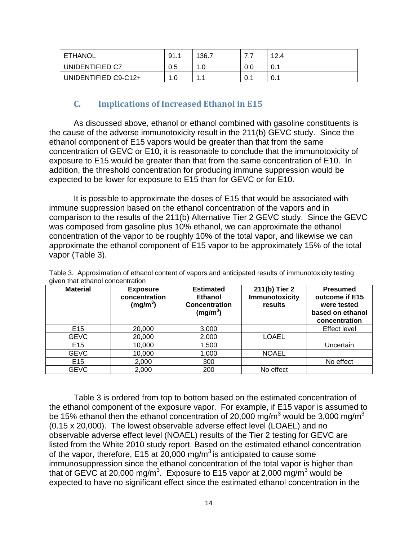| ETHANOL              | 91. . | 136.7 | . . | 12.4 |
|----------------------|-------|-------|-----|------|
| UNIDENTIFIED C7      | 0.5   |       | 0.0 | v.   |
| UNIDENTIFIED C9-C12+ | 0. ا  |       | 0.1 | v. I |

## **C. Implications of Increased Ethanol in E15**

 exposure to E15 would be greater than that from the same concentration of E10. In expected to be lower for exposure to E15 than for GEVC or for E10. As discussed above, ethanol or ethanol combined with gasoline constituents is the cause of the adverse immunotoxicity result in the 211(b) GEVC study. Since the ethanol component of E15 vapors would be greater than that from the same concentration of GEVC or E10, it is reasonable to conclude that the immunotoxicity of addition, the threshold concentration for producing immune suppression would be

 It is possible to approximate the doses of E15 that would be associated with approximate the ethanol component of E15 vapor to be approximately 15% of the total immune suppression based on the ethanol concentration of the vapors and in comparison to the results of the 211(b) Alternative Tier 2 GEVC study. Since the GEVC was composed from gasoline plus 10% ethanol, we can approximate the ethanol concentration of the vapor to be roughly 10% of the total vapor, and likewise we can vapor (Table 3).

| ັ<br><b>Material</b> | <b>Exposure</b><br>concentration<br>(mg/m <sup>3</sup> ) | <b>Estimated</b><br><b>Ethanol</b><br><b>Concentration</b><br>(mg/m <sup>3</sup> ) | 211(b) Tier 2<br><b>Immunotoxicity</b><br>results | <b>Presumed</b><br>outcome if E15<br>were tested<br>based on ethanol<br>concentration |
|----------------------|----------------------------------------------------------|------------------------------------------------------------------------------------|---------------------------------------------------|---------------------------------------------------------------------------------------|
| E <sub>15</sub>      | 20,000                                                   | 3,000                                                                              |                                                   | <b>Effect level</b>                                                                   |
| <b>GEVC</b>          | 20,000                                                   | 2,000                                                                              | <b>LOAEL</b>                                      |                                                                                       |
| E <sub>15</sub>      | 10,000                                                   | 1,500                                                                              |                                                   | Uncertain                                                                             |
| <b>GEVC</b>          | 10,000                                                   | 1,000                                                                              | <b>NOAEL</b>                                      |                                                                                       |
| E <sub>15</sub>      | 2,000                                                    | 300                                                                                |                                                   | No effect                                                                             |
| <b>GEVC</b>          | 2,000                                                    | 200                                                                                | No effect                                         |                                                                                       |

 Table 3. Approximation of ethanol content of vapors and anticipated results of immunotoxicity testing given that ethanol concentration

 (0.15 x 20,000). The lowest observable adverse effect level (LOAEL) and no that of GEVC at 20,000 mg/m<sup>3</sup>. Exposure to E15 vapor at 2,000 mg/m<sup>3</sup> would be Table 3 is ordered from top to bottom based on the estimated concentration of the ethanol component of the exposure vapor. For example, if E15 vapor is assumed to be 15% ethanol then the ethanol concentration of 20,000 mg/m<sup>3</sup> would be 3,000 mg/m<sup>3</sup> observable adverse effect level (NOAEL) results of the Tier 2 testing for GEVC are listed from the White 2010 study report. Based on the estimated ethanol concentration of the vapor, therefore, E15 at  $20,000$  mg/m<sup>3</sup> is anticipated to cause some immunosuppression since the ethanol concentration of the total vapor is higher than expected to have no significant effect since the estimated ethanol concentration in the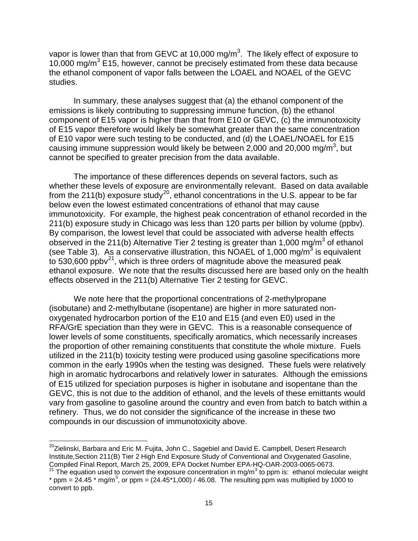vapor is lower than that from GEVC at 10,000 mg/m<sup>3</sup>. The likely effect of exposure to the ethanol component of vapor falls between the LOAEL and NOAEL of the GEVC studies. 10,000 mg/ $m^3$  E15, however, cannot be precisely estimated from these data because

 component of E15 vapor is higher than that from E10 or GEVC, (c) the immunotoxicity cannot be specified to greater precision from the data available. In summary, these analyses suggest that (a) the ethanol component of the emissions is likely contributing to suppressing immune function, (b) the ethanol of E15 vapor therefore would likely be somewhat greater than the same concentration of E10 vapor were such testing to be conducted, and (d) the LOAEL/NOAEL for E15 causing immune suppression would likely be between  $2,000$  and  $20,000$  mg/m<sup>3</sup>, but

 cannot be specified to greater precision from the data available. The importance of these differences depends on several factors, such as from the 211(b) exposure study<sup>[20](#page-12-1)</sup>, ethanol concentrations in the U.S. appear to be far 211(b) exposure study in Chicago was less than 120 parts per billion by volume (ppby). (see Table 3). As a conservative illustration, this NOAEL of 1,000 mg/m<sup>3</sup> is equivalent ethanol exposure. We note that the results discussed here are based only on the health whether these levels of exposure are environmentally relevant. Based on data available below even the lowest estimated concentrations of ethanol that may cause immunotoxicity. For example, the highest peak concentration of ethanol recorded in the By comparison, the lowest level that could be associated with adverse health effects observed in the 211(b) Alternative Tier 2 testing is greater than 1,000 mg/m<sup>3</sup> of ethanol to 530,600 ppbv<sup>21</sup>, which is three orders of magnitude above the measured peak effects observed in the 211(b) Alternative Tier 2 testing for GEVC.

 the proportion of other remaining constituents that constitute the whole mixture. Fuels common in the early 1990s when the testing was designed. These fuels were relatively We note here that the proportional concentrations of 2-methylpropane (isobutane) and 2-methylbutane (isopentane) are higher in more saturated nonoxygenated hydrocarbon portion of the E10 and E15 (and even E0) used in the RFA/GrE speciation than they were in GEVC. This is a reasonable consequence of lower levels of some constituents, specifically aromatics, which necessarily increases utilized in the 211(b) toxicity testing were produced using gasoline specifications more high in aromatic hydrocarbons and relatively lower in saturates. Although the emissions of E15 utilized for speciation purposes is higher in isobutane and isopentane than the GEVC, this is not due to the addition of ethanol, and the levels of these emittants would vary from gasoline to gasoline around the country and even from batch to batch within a refinery. Thus, we do not consider the significance of the increase in these two compounds in our discussion of immunotoxicity above.

 $\overline{a}$ Compiled Final Report, March 25, 2009, EPA Docket Number EPA-HQ-OAR-2003-0065-0673.<br><sup>21</sup> The equation used to convert the exposure concentration in mg/m<sup>3</sup> to ppm is: ethanol molecular weight  $^{20}$ Zielinski, Barbara and Eric M. Fujita, John C., Sagebiel and David E. Campbell, Desert Research Institute,Section 211(B) Tier 2 High End Exposure Study of Conventional and Oxygenated Gasoline,

<span id="page-14-1"></span><span id="page-14-0"></span><sup>\*</sup> ppm = 24.45 \* mg/m<sup>3</sup>, or ppm = (24.45\*1,000) / 46.08. The resulting ppm was multiplied by 1000 to convert to ppb.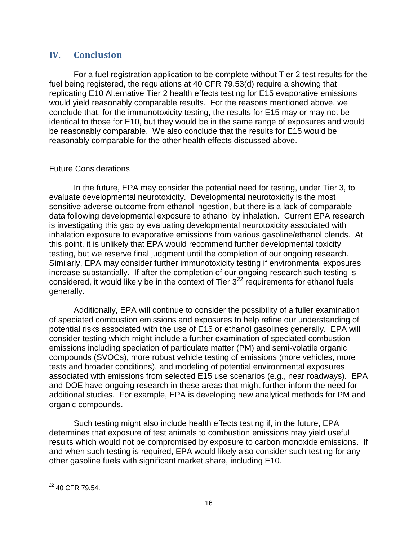# **IV. Conclusion**

 For a fuel registration application to be complete without Tier 2 test results for the replicating E10 Alternative Tier 2 health effects testing for E15 evaporative emissions conclude that, for the immunotoxicity testing, the results for E15 may or may not be identical to those for E10, but they would be in the same range of exposures and would be reasonably comparable. We also conclude that the results for E15 would be reasonably comparable for the other health effects discussed above. fuel being registered, the regulations at 40 CFR 79.53(d) require a showing that would yield reasonably comparable results. For the reasons mentioned above, we

## Future Considerations

 sensitive adverse outcome from ethanol ingestion, but there is a lack of comparable Similarly, EPA may consider further immunotoxicity testing if environmental exposures generally. In the future, EPA may consider the potential need for testing, under Tier 3, to evaluate developmental neurotoxicity. Developmental neurotoxicity is the most data following developmental exposure to ethanol by inhalation. Current EPA research is investigating this gap by evaluating developmental neurotoxicity associated with inhalation exposure to evaporative emissions from various gasoline/ethanol blends. At this point, it is unlikely that EPA would recommend further developmental toxicity testing, but we reserve final judgment until the completion of our ongoing research. increase substantially. If after the completion of our ongoing research such testing is considered, it would likely be in the context of Tier  $3^{22}$  $3^{22}$  $3^{22}$  requirements for ethanol fuels

 potential risks associated with the use of E15 or ethanol gasolines generally. EPA will consider testing which might include a further examination of speciated combustion and DOE have ongoing research in these areas that might further inform the need for organic compounds. Additionally, EPA will continue to consider the possibility of a fuller examination of speciated combustion emissions and exposures to help refine our understanding of emissions including speciation of particulate matter (PM) and semi-volatile organic compounds (SVOCs), more robust vehicle testing of emissions (more vehicles, more tests and broader conditions), and modeling of potential environmental exposures associated with emissions from selected E15 use scenarios (e.g., near roadways). EPA additional studies. For example, EPA is developing new analytical methods for PM and

Such testing might also include health effects testing if, in the future, EPA determines that exposure of test animals to combustion emissions may yield useful results which would not be compromised by exposure to carbon monoxide emissions. If and when such testing is required, EPA would likely also consider such testing for any other gasoline fuels with significant market share, including E10.

 $\overline{a}$  $^{22}$  40 CFR 79.54.